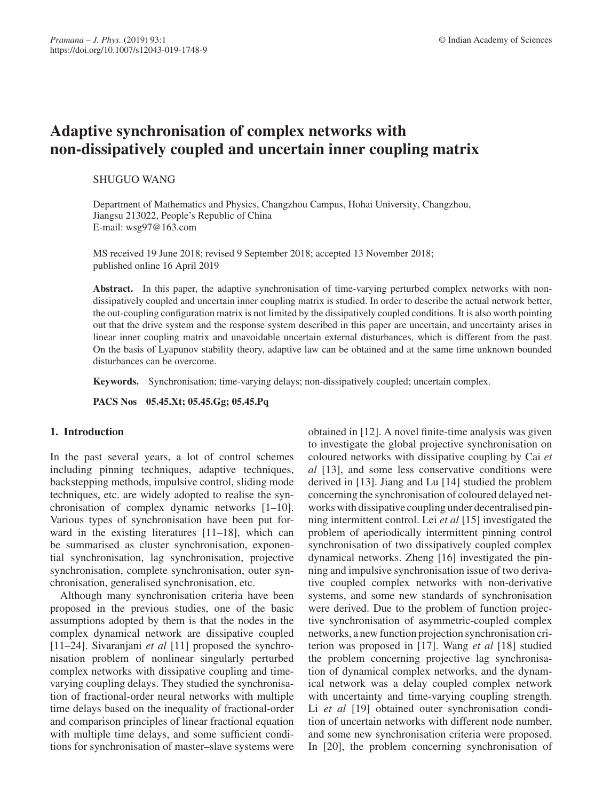# **Adaptive synchronisation of complex networks with non-dissipatively coupled and uncertain inner coupling matrix**

## SHUGUO WANG

Department of Mathematics and Physics, Changzhou Campus, Hohai University, Changzhou, Jiangsu 213022, People's Republic of China E-mail: wsg97@163.com

MS received 19 June 2018; revised 9 September 2018; accepted 13 November 2018; published online 16 April 2019

Abstract. In this paper, the adaptive synchronisation of time-varying perturbed complex networks with nondissipatively coupled and uncertain inner coupling matrix is studied. In order to describe the actual network better, the out-coupling configuration matrix is not limited by the dissipatively coupled conditions. It is also worth pointing out that the drive system and the response system described in this paper are uncertain, and uncertainty arises in linear inner coupling matrix and unavoidable uncertain external disturbances, which is different from the past. On the basis of Lyapunov stability theory, adaptive law can be obtained and at the same time unknown bounded disturbances can be overcome.

**Keywords.** Synchronisation; time-varying delays; non-dissipatively coupled; uncertain complex.

**PACS Nos 05.45.Xt; 05.45.Gg; 05.45.Pq**

# **1. Introduction**

In the past several years, a lot of control schemes including pinning techniques, adaptive techniques, backstepping methods, impulsive control, sliding mode techniques, etc. are widely adopted to realise the synchronisation of complex dynamic networks [1–10]. Various types of synchronisation have been put forward in the existing literatures [11–18], which can be summarised as cluster synchronisation, exponential synchronisation, lag synchronisation, projective synchronisation, complete synchronisation, outer synchronisation, generalised synchronisation, etc.

Although many synchronisation criteria have been proposed in the previous studies, one of the basic assumptions adopted by them is that the nodes in the complex dynamical network are dissipative coupled [11–24]. Sivaranjani *et al* [11] proposed the synchronisation problem of nonlinear singularly perturbed complex networks with dissipative coupling and timevarying coupling delays. They studied the synchronisation of fractional-order neural networks with multiple time delays based on the inequality of fractional-order and comparison principles of linear fractional equation with multiple time delays, and some sufficient conditions for synchronisation of master–slave systems were obtained in [12]. A novel finite-time analysis was given to investigate the global projective synchronisation on coloured networks with dissipative coupling by Cai *et al* [13], and some less conservative conditions were derived in [13]. Jiang and Lu [14] studied the problem concerning the synchronisation of coloured delayed networks with dissipative coupling under decentralised pinning intermittent control. Lei *et al* [15] investigated the problem of aperiodically intermittent pinning control synchronisation of two dissipatively coupled complex dynamical networks. Zheng [16] investigated the pinning and impulsive synchronisation issue of two derivative coupled complex networks with non-derivative systems, and some new standards of synchronisation were derived. Due to the problem of function projective synchronisation of asymmetric-coupled complex networks, a new function projection synchronisation criterion was proposed in [17]. Wang *et al* [18] studied the problem concerning projective lag synchronisation of dynamical complex networks, and the dynamical network was a delay coupled complex network with uncertainty and time-varying coupling strength. Li *et al* [19] obtained outer synchronisation condition of uncertain networks with different node number, and some new synchronisation criteria were proposed. In [20], the problem concerning synchronisation of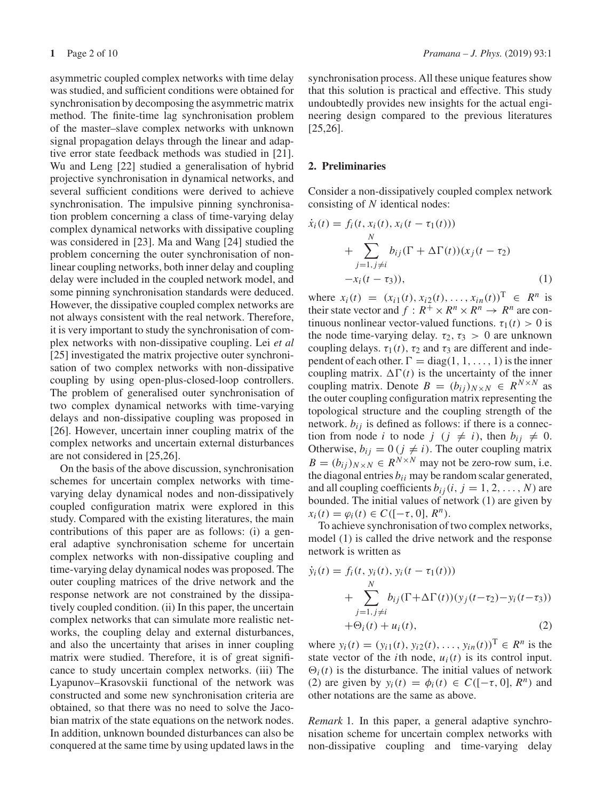asymmetric coupled complex networks with time delay was studied, and sufficient conditions were obtained for synchronisation by decomposing the asymmetric matrix method. The finite-time lag synchronisation problem of the master–slave complex networks with unknown signal propagation delays through the linear and adaptive error state feedback methods was studied in [21]. Wu and Leng [22] studied a generalisation of hybrid projective synchronisation in dynamical networks, and several sufficient conditions were derived to achieve synchronisation. The impulsive pinning synchronisation problem concerning a class of time-varying delay complex dynamical networks with dissipative coupling was considered in [23]. Ma and Wang [24] studied the problem concerning the outer synchronisation of nonlinear coupling networks, both inner delay and coupling delay were included in the coupled network model, and some pinning synchronisation standards were deduced. However, the dissipative coupled complex networks are not always consistent with the real network. Therefore, it is very important to study the synchronisation of complex networks with non-dissipative coupling. Lei *et al* [25] investigated the matrix projective outer synchronisation of two complex networks with non-dissipative coupling by using open-plus-closed-loop controllers. The problem of generalised outer synchronisation of two complex dynamical networks with time-varying delays and non-dissipative coupling was proposed in [26]. However, uncertain inner coupling matrix of the complex networks and uncertain external disturbances are not considered in [25,26].

On the basis of the above discussion, synchronisation schemes for uncertain complex networks with timevarying delay dynamical nodes and non-dissipatively coupled configuration matrix were explored in this study. Compared with the existing literatures, the main contributions of this paper are as follows: (i) a general adaptive synchronisation scheme for uncertain complex networks with non-dissipative coupling and time-varying delay dynamical nodes was proposed. The outer coupling matrices of the drive network and the response network are not constrained by the dissipatively coupled condition. (ii) In this paper, the uncertain complex networks that can simulate more realistic networks, the coupling delay and external disturbances, and also the uncertainty that arises in inner coupling matrix were studied. Therefore, it is of great significance to study uncertain complex networks. (iii) The Lyapunov–Krasovskii functional of the network was constructed and some new synchronisation criteria are obtained, so that there was no need to solve the Jacobian matrix of the state equations on the network nodes. In addition, unknown bounded disturbances can also be conquered at the same time by using updated laws in the synchronisation process. All these unique features show that this solution is practical and effective. This study undoubtedly provides new insights for the actual engineering design compared to the previous literatures [25,26].

## **2. Preliminaries**

Consider a non-dissipatively coupled complex network consisting of *N* identical nodes:

$$
\dot{x}_i(t) = f_i(t, x_i(t), x_i(t - \tau_1(t)))
$$
\n
$$
+ \sum_{j=1, j \neq i}^{N} b_{ij} (\Gamma + \Delta \Gamma(t)) (x_j(t - \tau_2))
$$
\n
$$
-x_i(t - \tau_3)), \tag{1}
$$

where  $x_i(t) = (x_{i1}(t), x_{i2}(t), \dots, x_{in}(t))^T \in R^n$  is their state vector and  $f: R^+ \times R^n \times R^n \rightarrow R^n$  are continuous nonlinear vector-valued functions.  $\tau_1(t) > 0$  is the node time-varying delay.  $\tau_2$ ,  $\tau_3 > 0$  are unknown coupling delays.  $\tau_1(t)$ ,  $\tau_2$  and  $\tau_3$  are different and independent of each other.  $\Gamma = \text{diag}(1, 1, \ldots, 1)$  is the inner coupling matrix.  $\Delta \Gamma(t)$  is the uncertainty of the inner coupling matrix. Denote  $B = (b_{ij})_{N \times N} \in R^{N \times N}$  as the outer coupling configuration matrix representing the topological structure and the coupling strength of the network.  $b_{ij}$  is defined as follows: if there is a connection from node *i* to node  $j$  ( $j \neq i$ ), then  $b_{ij} \neq 0$ . Otherwise,  $b_{ij} = 0$  ( $j \neq i$ ). The outer coupling matrix  $B = (b_{ij})_{N \times N} \in R^{N \times N}$  may not be zero-row sum, i.e. the diagonal entries  $b_{ii}$  may be random scalar generated, and all coupling coefficients  $b_{ij}$  (*i*, *j* = 1, 2, ..., *N*) are bounded. The initial values of network (1) are given by  $x_i(t) = \varphi_i(t) \in C([-\tau, 0], R^n).$ 

To achieve synchronisation of two complex networks, model (1) is called the drive network and the response network is written as

$$
\dot{y}_i(t) = f_i(t, y_i(t), y_i(t - \tau_1(t))) \n+ \sum_{j=1, j \neq i}^{N} b_{ij} (\Gamma + \Delta \Gamma(t)) (y_j(t - \tau_2) - y_i(t - \tau_3)) \n+ \Theta_i(t) + u_i(t),
$$
\n(2)

where  $y_i(t) = (y_{i1}(t), y_{i2}(t), \dots, y_{in}(t))^T \in R^n$  is the state vector of the *i*th node,  $u_i(t)$  is its control input.  $\Theta_i(t)$  is the disturbance. The initial values of network (2) are given by  $y_i(t) = \phi_i(t) \in C([-\tau, 0], R^n)$  and other notations are the same as above.

*Remark* 1*.* In this paper, a general adaptive synchronisation scheme for uncertain complex networks with non-dissipative coupling and time-varying delay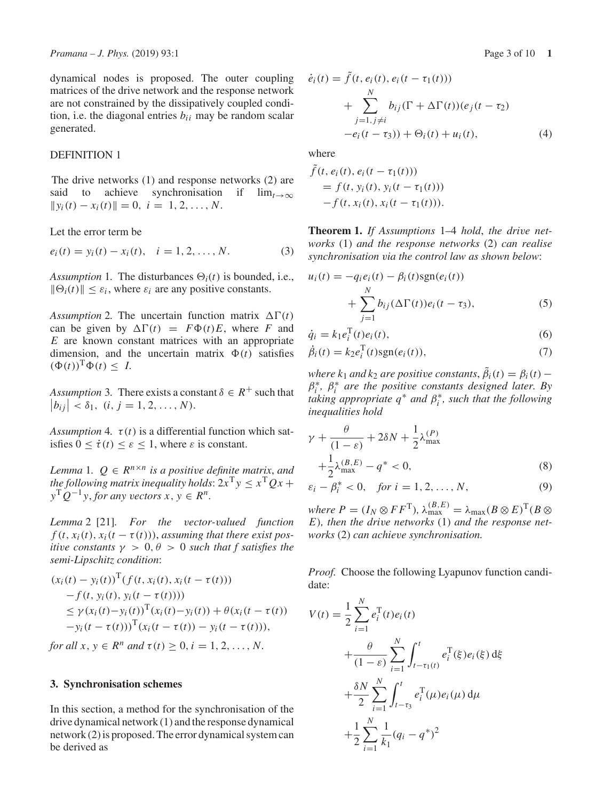dynamical nodes is proposed. The outer coupling matrices of the drive network and the response network are not constrained by the dissipatively coupled condition, i.e. the diagonal entries  $b_{ii}$  may be random scalar generated.

## DEFINITION 1

The drive networks (1) and response networks (2) are said to achieve synchronisation if  $lim_{t\to\infty}$  $||y_i(t) - x_i(t)|| = 0, i = 1, 2, ..., N.$ 

Let the error term be

 $e_i(t) = y_i(t) - x_i(t), \quad i = 1, 2, ..., N.$  (3)

*Assumption* 1. The disturbances  $\Theta_i(t)$  is bounded, i.e.,  $\|\Theta_i(t)\| \leq \varepsilon_i$ , where  $\varepsilon_i$  are any positive constants.

*Assumption* 2. The uncertain function matrix  $\Delta \Gamma(t)$ can be given by  $\Delta \Gamma(t) = F\Phi(t)E$ , where *F* and *E* are known constant matrices with an appropriate dimension, and the uncertain matrix  $\Phi(t)$  satisfies  $(\Phi(t))^T \Phi(t) \leq I$ .

*Assumption* 3. There exists a constant  $\delta \in R^+$  such that  $|b_{ij}| < \delta_1, (i, j = 1, 2, ..., N).$ 

*Assumption* 4.  $\tau(t)$  is a differential function which satisfies  $0 \leq \dot{\tau}(t) \leq \varepsilon \leq 1$ , where  $\varepsilon$  is constant.

*Lemma* 1*.*  $Q \in R^{n \times n}$  *is a positive definite matrix, and the following matrix inequality holds*:  $2x^Ty \le x^TQx +$  $y^TQ^{-1}y$ , *for any vectors*  $x, y \in R^n$ .

*Lemma* 2 [21]*. For the vector-valued function*  $f(t, x_i(t), x_i(t - \tau(t)))$ , *assuming that there exist positive constants*  $\gamma > 0, \theta > 0$  *such that f satisfies the semi-Lipschitz condition*:

$$
(x_i(t) - y_i(t))^{\mathrm{T}}(f(t, x_i(t), x_i(t - \tau(t)))
$$
  
-f(t, y\_i(t), y\_i(t - \tau(t))))  

$$
\leq \gamma (x_i(t) - y_i(t))^{\mathrm{T}}(x_i(t) - y_i(t)) + \theta (x_i(t - \tau(t)))
$$
  
-y<sub>i</sub>(t - \tau(t)))<sup>T</sup>(x<sub>i</sub>(t - \tau(t)) - y<sub>i</sub>(t - \tau(t))),

*for all*  $x, y \in R^n$  *and*  $\tau(t) \geq 0, i = 1, 2, ..., N$ .

#### **3. Synchronisation schemes**

In this section, a method for the synchronisation of the drive dynamical network (1) and the response dynamical network (2) is proposed. The error dynamical system can be derived as

$$
\dot{e}_i(t) = f(t, e_i(t), e_i(t - \tau_1(t))) \n+ \sum_{j=1, j \neq i}^{N} b_{ij} (\Gamma + \Delta \Gamma(t)) (e_j(t - \tau_2) \n- e_i(t - \tau_3)) + \Theta_i(t) + u_i(t),
$$
\n(4)

where

$$
f(t, e_i(t), e_i(t - \tau_1(t)))
$$
  
= f(t, y\_i(t), y\_i(t - \tau\_1(t)))  
-f(t, x\_i(t), x\_i(t - \tau\_1(t))).

**Theorem 1.** *If Assumptions* 1–4 *hold*, *the drive networks* (1) *and the response networks* (2) *can realise synchronisation via the control law as shown below*:

$$
u_i(t) = -q_i e_i(t) - \beta_i(t) \text{sgn}(e_i(t))
$$
  
+ 
$$
\sum_{j=1}^{N} b_{ij} (\Delta \Gamma(t)) e_i(t - \tau_3),
$$
 (5)

$$
\dot{q}_i = k_1 e_i^{\mathrm{T}}(t) e_i(t),\tag{6}
$$

$$
\dot{\beta}_i(t) = k_2 e_i^{\mathrm{T}}(t) \text{sgn}(e_i(t)),\tag{7}
$$

*where*  $k_1$  *and*  $k_2$  *are positive constants*,  $\beta_i(t) = \beta_i(t)$  –  $\beta_i^*$ ,  $\beta_i^*$  are the positive constants designed later. By *taking appropriate q*∗ *and* β∗ *<sup>i</sup> , such that the following inequalities hold*

$$
\gamma + \frac{\theta}{(1-\varepsilon)} + 2\delta N + \frac{1}{2}\lambda_{\text{max}}^{(P)} + \frac{1}{2}\lambda_{\text{max}}^{(B,E)} - q^* < 0,
$$
 (8)

$$
\varepsilon_i - \beta_i^* < 0, \text{ for } i = 1, 2, ..., N,
$$
\n(9)

 $where P = (I_N \otimes FF^T), \lambda_{\text{max}}^{(B,E)} = \lambda_{\text{max}}(B \otimes E)^T (B \otimes$ *E*)*, then the drive networks* (1) *and the response networks* (2) *can achieve synchronisation.*

*Proof.* Choose the following Lyapunov function candidate:

$$
V(t) = \frac{1}{2} \sum_{i=1}^{N} e_i^{T}(t) e_i(t)
$$
  
+ 
$$
\frac{\theta}{(1-\varepsilon)} \sum_{i=1}^{N} \int_{t-\tau_1(t)}^{t} e_i^{T}(\xi) e_i(\xi) d\xi
$$
  
+ 
$$
\frac{\delta N}{2} \sum_{i=1}^{N} \int_{t-\tau_3}^{t} e_i^{T}(\mu) e_i(\mu) d\mu
$$
  
+ 
$$
\frac{1}{2} \sum_{i=1}^{N} \frac{1}{k_1} (q_i - q^*)^2
$$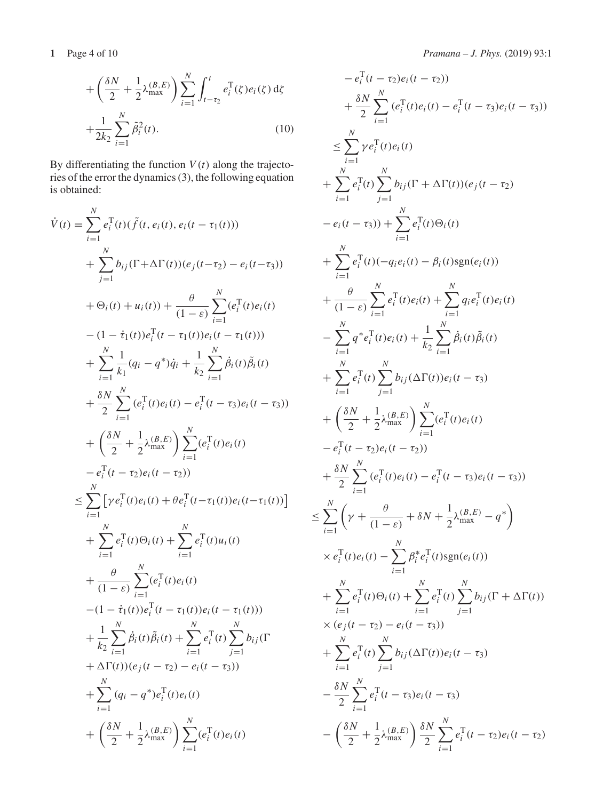$$
+\left(\frac{\delta N}{2} + \frac{1}{2}\lambda_{\text{max}}^{(B,E)}\right) \sum_{i=1}^{N} \int_{t-\tau_2}^{t} e_i^{\text{T}}(\zeta) e_i(\zeta) d\zeta
$$

$$
+\frac{1}{2k_2} \sum_{i=1}^{N} \tilde{\beta}_i^2(t). \tag{10}
$$

By differentiating the function  $V(t)$  along the trajectories of the error the dynamics (3), the following equation is obtained:

$$
\dot{V}(t) = \sum_{i=1}^{N} e_{i}^{T}(t)(\tilde{f}(t, e_{i}(t), e_{i}(t - \tau_{1}(t)))
$$
\n
$$
+ \sum_{j=1}^{N} b_{ij}(\Gamma + \Delta\Gamma(t))(e_{j}(t - \tau_{2}) - e_{i}(t - \tau_{3}))
$$
\n
$$
+ \Theta_{i}(t) + u_{i}(t) + \frac{\theta}{(1 - \varepsilon)} \sum_{i=1}^{N} (e_{i}^{T}(t)e_{i}(t))
$$
\n
$$
- (1 - \dot{\tau}_{1}(t))e_{i}^{T}(t - \tau_{1}(t))e_{i}(t - \tau_{1}(t)))
$$
\n
$$
+ \sum_{i=1}^{N} \frac{1}{k_{1}}(q_{i} - q^{*})\dot{q}_{i} + \frac{1}{k_{2}} \sum_{i=1}^{N} \dot{\beta}_{i}(t)\tilde{\beta}_{i}(t)
$$
\n
$$
+ \frac{\delta N}{2} \sum_{i=1}^{N} (e_{i}^{T}(t)e_{i}(t) - e_{i}^{T}(t - \tau_{3})e_{i}(t - \tau_{3}))
$$
\n
$$
+ \left(\frac{\delta N}{2} + \frac{1}{2}\lambda_{\text{max}}^{(B,E)}\right) \sum_{i=1}^{N} (e_{i}^{T}(t)e_{i}(t)
$$
\n
$$
- e_{i}^{T}(t - \tau_{2})e_{i}(t - \tau_{2}))
$$
\n
$$
\leq \sum_{i=1}^{N} [\gamma e_{i}^{T}(t)e_{i}(t) + \theta e_{i}^{T}(t - \tau_{1}(t))e_{i}(t - \tau_{1}(t))] + \sum_{i=1}^{N} e_{i}^{T}(t)\Theta_{i}(t) + \sum_{i=1}^{N} e_{i}^{T}(t)u_{i}(t)
$$
\n
$$
+ \frac{\theta}{(1 - \varepsilon)} \sum_{i=1}^{N} (e_{i}^{T}(t)e_{i}(t))
$$
\n
$$
- (1 - \dot{\tau}_{1}(t))e_{i}^{T}(t - \tau_{1}(t))e_{i}(t - \tau_{1}(t)))
$$
\n
$$
+ \frac{1}{k_{2}} \sum_{i=1}^{N} \dot{\beta}_{i}(t)\tilde{\beta}_{i}(t) + \sum_{i
$$

$$
-e_{i}^{T}(t-\tau_{2})e_{i}(t-\tau_{2}))
$$
\n
$$
+\frac{\delta N}{2} \sum_{i=1}^{N} (e_{i}^{T}(t)e_{i}(t) - e_{i}^{T}(t-\tau_{3})e_{i}(t-\tau_{3}))
$$
\n
$$
\leq \sum_{i=1}^{N} \gamma e_{i}^{T}(t)e_{i}(t)
$$
\n
$$
+\sum_{i=1}^{N} e_{i}^{T}(t) \sum_{j=1}^{N} b_{ij}(\Gamma + \Delta\Gamma(t))(e_{j}(t-\tau_{2}))
$$
\n
$$
-e_{i}(t-\tau_{3})) + \sum_{i=1}^{N} e_{i}^{T}(t) \Theta_{i}(t)
$$
\n
$$
+\sum_{i=1}^{N} e_{i}^{T}(t)(-q_{i}e_{i}(t) - \beta_{i}(t)sgn(e_{i}(t)))
$$
\n
$$
+\frac{\theta}{(1-\epsilon)} \sum_{i=1}^{N} e_{i}^{T}(t)e_{i}(t) + \sum_{i=1}^{N} q_{i}e_{i}^{T}(t)e_{i}(t)
$$
\n
$$
-\sum_{i=1}^{N} q^{*}e_{i}^{T}(t)e_{i}(t) + \frac{1}{k_{2}} \sum_{i=1}^{N} \beta_{i}(t) \tilde{\beta}_{i}(t)
$$
\n
$$
+\sum_{i=1}^{N} e_{i}^{T}(t) \sum_{j=1}^{N} b_{ij}(\Delta\Gamma(t))e_{i}(t-\tau_{3})
$$
\n
$$
+\left(\frac{\delta N}{2} + \frac{1}{2} \lambda_{\text{max}}^{(B,E)}\right) \sum_{i=1}^{N} (e_{i}^{T}(t)e_{i}(t)
$$
\n
$$
-e_{i}^{T}(t-\tau_{2})e_{i}(t-\tau_{2}))
$$
\n
$$
+\frac{\delta N}{2} \sum_{i=1}^{N} (e_{i}^{T}(t)e_{i}(t) - e_{i}^{T}(t-\tau_{3})e_{i}(t-\tau_{3}))
$$
\n
$$
\leq \sum_{i=1}^{N} \left(\gamma + \frac{\theta}{(1-\epsilon)} + \delta N + \frac{1}{2} \lambda_{\text{max}}^{(B,E)} - q^{*}\right)
$$
\n
$$
\times e_{i}^{T}(t)e_{i}(t
$$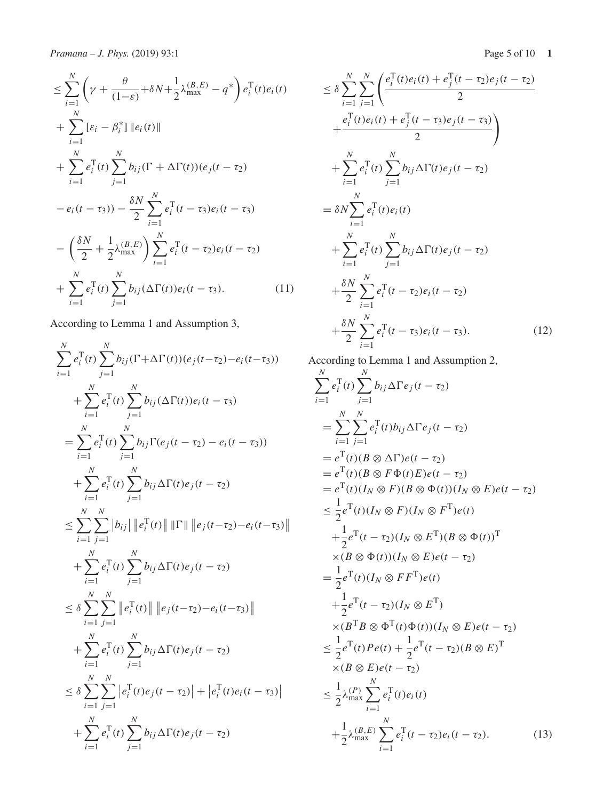$$
\leq \sum_{i=1}^{N} \left( \gamma + \frac{\theta}{(1-\varepsilon)} + \delta N + \frac{1}{2} \lambda_{\max}^{(B,E)} - q^* \right) e_i^{\mathrm{T}}(t) e_i(t) \n+ \sum_{i=1}^{N} \left[ \varepsilon_i - \beta_i^* \right] \| e_i(t) \| \n+ \sum_{i=1}^{N} e_i^{\mathrm{T}}(t) \sum_{j=1}^{N} b_{ij} (\Gamma + \Delta \Gamma(t)) (e_j(t - \tau_2) \n- e_i(t - \tau_3)) - \frac{\delta N}{2} \sum_{i=1}^{N} e_i^{\mathrm{T}}(t - \tau_3) e_i(t - \tau_3) \n- \left( \frac{\delta N}{2} + \frac{1}{2} \lambda_{\max}^{(B,E)} \right) \sum_{i=1}^{N} e_i^{\mathrm{T}}(t - \tau_2) e_i(t - \tau_2) \n+ \sum_{i=1}^{N} e_i^{\mathrm{T}}(t) \sum_{j=1}^{N} b_{ij} (\Delta \Gamma(t)) e_i(t - \tau_3).
$$
\n(11)

According to Lemma 1 and Assumption 3,

$$
\sum_{i=1}^{N} e_{i}^{T}(t) \sum_{j=1}^{N} b_{ij}(\Gamma + \Delta \Gamma(t)) (e_{j}(t-\tau_{2}) - e_{i}(t-\tau_{3}))
$$
  
+ 
$$
\sum_{i=1}^{N} e_{i}^{T}(t) \sum_{j=1}^{N} b_{ij}(\Delta \Gamma(t)) e_{i}(t-\tau_{3})
$$
  
= 
$$
\sum_{i=1}^{N} e_{i}^{T}(t) \sum_{j=1}^{N} b_{ij} \Gamma(e_{j}(t-\tau_{2}) - e_{i}(t-\tau_{3}))
$$
  
+ 
$$
\sum_{i=1}^{N} e_{i}^{T}(t) \sum_{j=1}^{N} b_{ij} \Delta \Gamma(t) e_{j}(t-\tau_{2})
$$
  

$$
\leq \sum_{i=1}^{N} \sum_{j=1}^{N} |b_{ij}| ||e_{i}^{T}(t)|| ||\Gamma || ||e_{j}(t-\tau_{2}) - e_{i}(t-\tau_{3})||
$$
  
+ 
$$
\sum_{i=1}^{N} e_{i}^{T}(t) \sum_{j=1}^{N} b_{ij} \Delta \Gamma(t) e_{j}(t-\tau_{2})
$$
  

$$
\leq \delta \sum_{i=1}^{N} \sum_{j=1}^{N} ||e_{i}^{T}(t)|| ||e_{j}(t-\tau_{2}) - e_{i}(t-\tau_{3})||
$$
  
+ 
$$
\sum_{i=1}^{N} e_{i}^{T}(t) \sum_{j=1}^{N} b_{ij} \Delta \Gamma(t) e_{j}(t-\tau_{2})
$$
  

$$
\leq \delta \sum_{i=1}^{N} \sum_{j=1}^{N} |e_{i}^{T}(t) e_{j}(t-\tau_{2})| + |e_{i}^{T}(t) e_{i}(t-\tau_{3})|
$$
  
+ 
$$
\sum_{i=1}^{N} e_{i}^{T}(t) \sum_{j=1}^{N} b_{ij} \Delta \Gamma(t) e_{j}(t-\tau_{2})
$$

$$
\leq \delta \sum_{i=1}^{N} \sum_{j=1}^{N} \left( \frac{e_i^{\mathrm{T}}(t)e_i(t) + e_j^{\mathrm{T}}(t - \tau_2)e_j(t - \tau_2)}{2} + \frac{e_i^{\mathrm{T}}(t)e_i(t) + e_j^{\mathrm{T}}(t - \tau_3)e_j(t - \tau_3)}{2} \right) \n+ \sum_{i=1}^{N} e_i^{\mathrm{T}}(t) \sum_{j=1}^{N} b_{ij} \Delta \Gamma(t)e_j(t - \tau_2) \n= \delta N \sum_{i=1}^{N} e_i^{\mathrm{T}}(t)e_i(t) \n+ \sum_{i=1}^{N} e_i^{\mathrm{T}}(t) \sum_{j=1}^{N} b_{ij} \Delta \Gamma(t)e_j(t - \tau_2) \n+ \frac{\delta N}{2} \sum_{i=1}^{N} e_i^{\mathrm{T}}(t - \tau_2)e_i(t - \tau_2) \n+ \frac{\delta N}{2} \sum_{i=1}^{N} e_i^{\mathrm{T}}(t - \tau_3)e_i(t - \tau_3).
$$
\n(12)

According to Lemma 1 and Assumption 2,

$$
\sum_{i=1}^{N} e_i^{\mathrm{T}}(t) \sum_{j=1}^{N} b_{ij} \Delta \Gamma e_j(t-\tau_2)
$$
\n
$$
= \sum_{i=1}^{N} \sum_{j=1}^{N} e_i^{\mathrm{T}}(t) b_{ij} \Delta \Gamma e_j(t-\tau_2)
$$
\n
$$
= e^{\mathrm{T}}(t) (B \otimes \Delta \Gamma) e(t-\tau_2)
$$
\n
$$
= e^{\mathrm{T}}(t) (B \otimes F \Phi(t) E) e(t-\tau_2)
$$
\n
$$
= e^{\mathrm{T}}(t) (I_N \otimes F) (B \otimes \Phi(t)) (I_N \otimes E) e(t-\tau_2)
$$
\n
$$
\leq \frac{1}{2} e^{\mathrm{T}}(t) (I_N \otimes F) (I_N \otimes F^{\mathrm{T}}) e(t)
$$
\n
$$
+ \frac{1}{2} e^{\mathrm{T}}(t-\tau_2) (I_N \otimes E^{\mathrm{T}}) (B \otimes \Phi(t))^{\mathrm{T}}
$$
\n
$$
\times (B \otimes \Phi(t)) (I_N \otimes E) e(t-\tau_2)
$$
\n
$$
= \frac{1}{2} e^{\mathrm{T}}(t) (I_N \otimes F F^{\mathrm{T}}) e(t)
$$
\n
$$
+ \frac{1}{2} e^{\mathrm{T}}(t-\tau_2) (I_N \otimes E^{\mathrm{T}})
$$
\n
$$
\times (B^{\mathrm{T}}B \otimes \Phi^{\mathrm{T}}(t) \Phi(t)) (I_N \otimes E) e(t-\tau_2)
$$
\n
$$
\leq \frac{1}{2} e^{\mathrm{T}}(t) Pe(t) + \frac{1}{2} e^{\mathrm{T}}(t-\tau_2) (B \otimes E)^{\mathrm{T}}
$$
\n
$$
\times (B \otimes E) e(t-\tau_2)
$$
\n
$$
\leq \frac{1}{2} \lambda_{\text{max}}^{(P)} \sum_{i=1}^{N} e_i^{\mathrm{T}}(t) e_i(t)
$$
\n
$$
+ \frac{1}{2} \lambda_{\text{max}}^{(B,E)} \sum_{i=1}^{N} e_i^{\mathrm{T}}(t-\tau_2) e_i(t-\tau_2).
$$
\n(13)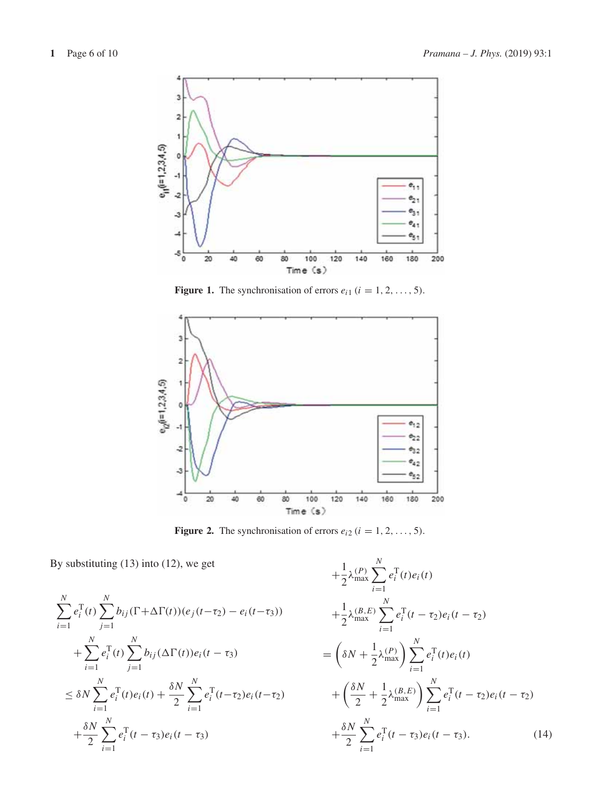

**Figure 1.** The synchronisation of errors  $e_{i1}$  ( $i = 1, 2, ..., 5$ ).



**Figure 2.** The synchronisation of errors  $e_{i2}$  ( $i = 1, 2, ..., 5$ ).

By substituting (13) into (12), we get

$$
\sum_{i=1}^{N} e_i^{\mathrm{T}}(t) \sum_{j=1}^{N} b_{ij}(\Gamma + \Delta \Gamma(t)) (e_j(t - \tau_2) - e_i(t - \tau_3))
$$
  
+ 
$$
\sum_{i=1}^{N} e_i^{\mathrm{T}}(t) \sum_{j=1}^{N} b_{ij}(\Delta \Gamma(t)) e_i(t - \tau_3)
$$
  

$$
\leq \delta N \sum_{i=1}^{N} e_i^{\mathrm{T}}(t) e_i(t) + \frac{\delta N}{2} \sum_{i=1}^{N} e_i^{\mathrm{T}}(t - \tau_2) e_i(t - \tau_2)
$$
  
+ 
$$
\frac{\delta N}{2} \sum_{i=1}^{N} e_i^{\mathrm{T}}(t - \tau_3) e_i(t - \tau_3)
$$

$$
+\frac{1}{2}\lambda_{\max}^{(P)}\sum_{i=1}^{N}e_{i}^{T}(t)e_{i}(t)
$$
  
+
$$
\frac{1}{2}\lambda_{\max}^{(B,E)}\sum_{i=1}^{N}e_{i}^{T}(t-\tau_{2})e_{i}(t-\tau_{2})
$$
  
=
$$
\left(\delta N + \frac{1}{2}\lambda_{\max}^{(P)}\right)\sum_{i=1}^{N}e_{i}^{T}(t)e_{i}(t)
$$
  
+
$$
\left(\frac{\delta N}{2} + \frac{1}{2}\lambda_{\max}^{(B,E)}\right)\sum_{i=1}^{N}e_{i}^{T}(t-\tau_{2})e_{i}(t-\tau_{2})
$$
  
+
$$
\frac{\delta N}{2}\sum_{i=1}^{N}e_{i}^{T}(t-\tau_{3})e_{i}(t-\tau_{3}).
$$
 (14)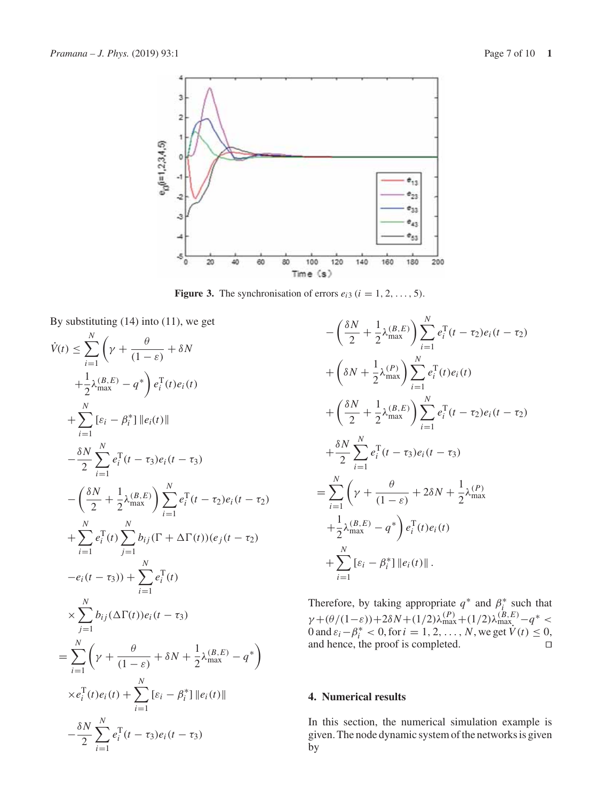

**Figure 3.** The synchronisation of errors  $e_{i3}$  ( $i = 1, 2, ..., 5$ ).

By substituting (14) into (11), we get

$$
\dot{V}(t) \leq \sum_{i=1}^{N} \left( \gamma + \frac{\theta}{(1-\varepsilon)} + \delta N \n+ \frac{1}{2} \lambda_{\max}^{(B,E)} - q^* \right) e_i^{\mathrm{T}}(t) e_i(t) \n+ \sum_{i=1}^{N} [\varepsilon_i - \beta_i^*] \| e_i(t) \| \n- \frac{\delta N}{2} \sum_{i=1}^{N} e_i^{\mathrm{T}}(t - \tau_3) e_i(t - \tau_3) \n- \left( \frac{\delta N}{2} + \frac{1}{2} \lambda_{\max}^{(B,E)} \right) \sum_{i=1}^{N} e_i^{\mathrm{T}}(t - \tau_2) e_i(t - \tau_2) \n+ \sum_{i=1}^{N} e_i^{\mathrm{T}}(t) \sum_{j=1}^{N} b_{ij} (\Gamma + \Delta \Gamma(t)) (e_j(t - \tau_2) \n- e_i(t - \tau_3)) + \sum_{i=1}^{N} e_i^{\mathrm{T}}(t) \n\times \sum_{j=1}^{N} b_{ij} (\Delta \Gamma(t)) e_i(t - \tau_3) \n= \sum_{i=1}^{N} \left( \gamma + \frac{\theta}{(1-\varepsilon)} + \delta N + \frac{1}{2} \lambda_{\max}^{(B,E)} - q^* \right) \n\times e_i^{\mathrm{T}}(t) e_i(t) + \sum_{i=1}^{N} [\varepsilon_i - \beta_i^*] \| e_i(t) \| \n- \frac{\delta N}{2} \sum_{i=1}^{N} e_i^{\mathrm{T}}(t - \tau_3) e_i(t - \tau_3)
$$

$$
-\left(\frac{\delta N}{2} + \frac{1}{2}\lambda_{\max}^{(B,E)}\right) \sum_{i=1}^{N} e_i^{\mathrm{T}}(t - \tau_2) e_i(t - \tau_2)
$$
  
+  $\left(\delta N + \frac{1}{2}\lambda_{\max}^{(P)}\right) \sum_{i=1}^{N} e_i^{\mathrm{T}}(t) e_i(t)$   
+  $\left(\frac{\delta N}{2} + \frac{1}{2}\lambda_{\max}^{(B,E)}\right) \sum_{i=1}^{N} e_i^{\mathrm{T}}(t - \tau_2) e_i(t - \tau_2)$   
+  $\frac{\delta N}{2} \sum_{i=1}^{N} e_i^{\mathrm{T}}(t - \tau_3) e_i(t - \tau_3)$   
=  $\sum_{i=1}^{N} \left(\gamma + \frac{\theta}{(1 - \varepsilon)} + 2\delta N + \frac{1}{2}\lambda_{\max}^{(P)} + \frac{1}{2}\lambda_{\max}^{(B,E)} - q^*\right) e_i^{\mathrm{T}}(t) e_i(t)$   
+  $\sum_{i=1}^{N} [\varepsilon_i - \beta_i^*] \|e_i(t)\|$ .

Therefore, by taking appropriate  $q^*$  and  $\beta_i^*$  such that  $γ + (θ/(1−ε)) + 2δN + (1/2)λ_{max}^{(P)} + (1/2)λ_{max}^{(B,E)} - q^* <$ 0 and  $\varepsilon_i - \beta_i^* < 0$ , for  $i = 1, 2, ..., N$ , we get  $V(t) \le 0$ , and hence, the proof is completed.

## **4. Numerical results**

In this section, the numerical simulation example is given. The node dynamic system of the networks is given by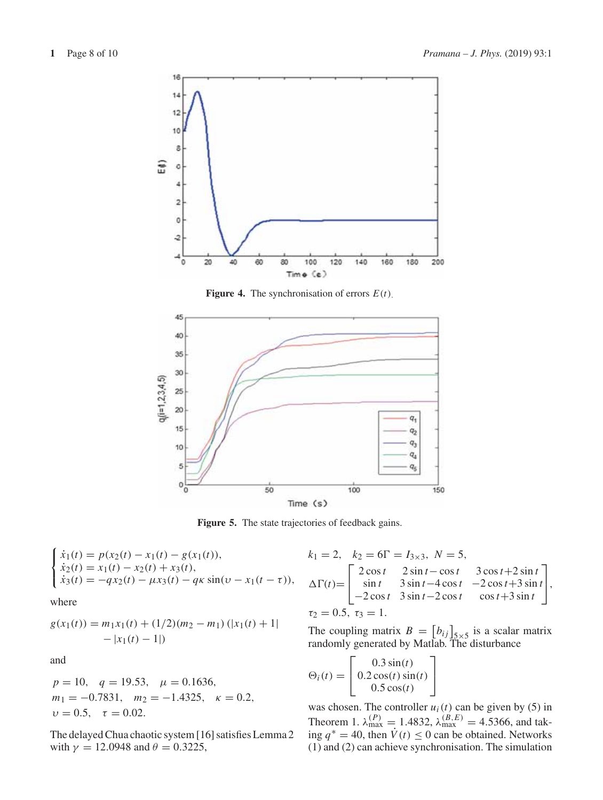

**Figure 4.** The synchronisation of errors *E*(*t*).



Figure 5. The state trajectories of feedback gains.

$$
\begin{cases}\n\dot{x}_1(t) = p(x_2(t) - x_1(t) - g(x_1(t)),\n\dot{x}_2(t) = x_1(t) - x_2(t) + x_3(t),\n\dot{x}_3(t) = -qx_2(t) - \mu x_3(t) - qx \sin(\nu - x_1(t - \tau)),\n\end{cases}
$$

where

$$
g(x_1(t)) = m_1x_1(t) + (1/2)(m_2 - m_1) (|x_1(t) + 1| - |x_1(t) - 1|)
$$

and

$$
p = 10
$$
,  $q = 19.53$ ,  $\mu = 0.1636$ ,  
\n $m_1 = -0.7831$ ,  $m_2 = -1.4325$ ,  $\kappa = 0.2$ ,  
\n $\nu = 0.5$ ,  $\tau = 0.02$ .

The delayed Chua chaotic system [16] satisfies Lemma 2 with  $\gamma = 12.0948$  and  $\theta = 0.3225$ ,

$$
k_1 = 2, \quad k_2 = 6\Gamma = I_{3\times 3}, \quad N = 5,
$$
  
\n
$$
\Delta\Gamma(t) = \begin{bmatrix} 2\cos t & 2\sin t - \cos t & 3\cos t + 2\sin t \\ \sin t & 3\sin t - 4\cos t & -2\cos t + 3\sin t \\ -2\cos t & 3\sin t - 2\cos t & \cos t + 3\sin t \end{bmatrix},
$$
  
\n
$$
\tau_2 = 0.5, \quad \tau_3 = 1.
$$

The coupling matrix  $B = [b_{ij}]_{5 \times 5}$  is a scalar matrix randomly generated by Matlab. The disturbance

$$
\Theta_i(t) = \begin{bmatrix} 0.3\sin(t) \\ 0.2\cos(t)\sin(t) \\ 0.5\cos(t) \end{bmatrix}
$$

was chosen. The controller  $u_i(t)$  can be given by (5) in Theorem 1.  $\lambda_{\text{max}}^{(P)} = 1.4832$ ,  $\lambda_{\text{max}}^{(B,E)} = 4.5366$ , and taking *q*<sup>∗</sup> = 40, then *V*˙(*t*) ≤ 0 can be obtained. Networks (1) and (2) can achieve synchronisation. The simulation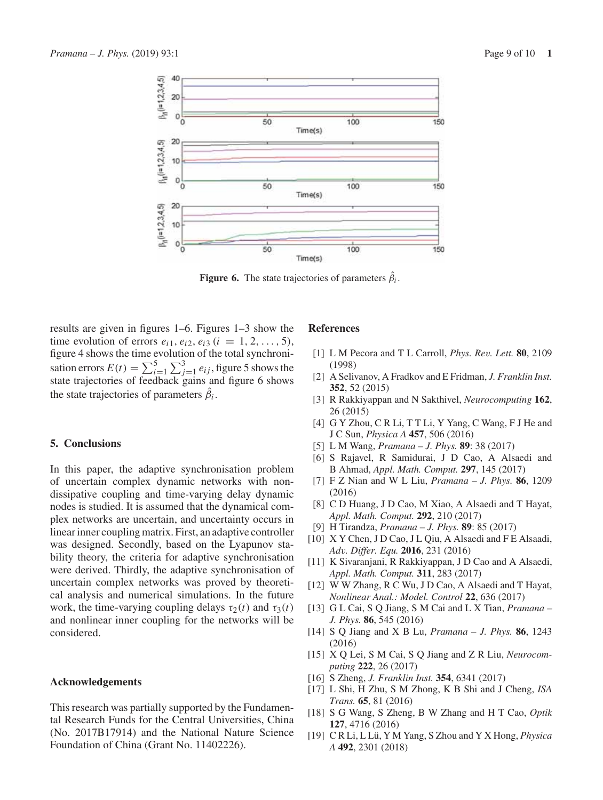

**Figure 6.** The state trajectories of parameters  $\hat{\beta}_i$ .

results are given in figures 1–6. Figures 1–3 show the time evolution of errors  $e_{i1}$ ,  $e_{i2}$ ,  $e_{i3}$  ( $i = 1, 2, ..., 5$ ), figure 4 shows the time evolution of the total synchronisation errors  $E(t) = \sum_{i=1}^{5} \sum_{j=1}^{3} e_{ij}$ , figure 5 shows the state trajectories of feedback gains and figure 6 shows the state trajectories of parameters  $\beta_i$ .

## **5. Conclusions**

In this paper, the adaptive synchronisation problem of uncertain complex dynamic networks with nondissipative coupling and time-varying delay dynamic nodes is studied. It is assumed that the dynamical complex networks are uncertain, and uncertainty occurs in linear inner coupling matrix. First, an adaptive controller was designed. Secondly, based on the Lyapunov stability theory, the criteria for adaptive synchronisation were derived. Thirdly, the adaptive synchronisation of uncertain complex networks was proved by theoretical analysis and numerical simulations. In the future work, the time-varying coupling delays  $\tau_2(t)$  and  $\tau_3(t)$ and nonlinear inner coupling for the networks will be considered.

#### **Acknowledgements**

This research was partially supported by the Fundamental Research Funds for the Central Universities, China (No. 2017B17914) and the National Nature Science Foundation of China (Grant No. 11402226).

#### **References**

- [1] L M Pecora and T L Carroll, *Phys. Rev. Lett.* **80**, 2109 (1998)
- [2] A Selivanov, A Fradkov and E Fridman, *J. Franklin Inst.* **352**, 52 (2015)
- [3] R Rakkiyappan and N Sakthivel, *Neurocomputing* **162**, 26 (2015)
- [4] G Y Zhou, C R Li, T T Li, Y Yang, C Wang, F J He and J C Sun, *Physica A* **457**, 506 (2016)
- [5] L M Wang, *Pramana J. Phys.* **89**: 38 (2017)
- [6] S Rajavel, R Samidurai, J D Cao, A Alsaedi and B Ahmad, *Appl. Math. Comput.* **297**, 145 (2017)
- [7] F Z Nian and W L Liu, *Pramana J. Phys.* **86**, 1209 (2016)
- [8] C D Huang, J D Cao, M Xiao, A Alsaedi and T Hayat, *Appl. Math. Comput.* **292**, 210 (2017)
- [9] H Tirandza, *Pramana J. Phys.* **89**: 85 (2017)
- [10] X Y Chen, J D Cao, J L Qiu, A Alsaedi and F E Alsaadi, *Adv. Differ. Equ.* **2016**, 231 (2016)
- [11] K Sivaranjani, R Rakkiyappan, J D Cao and A Alsaedi, *Appl. Math. Comput.* **311**, 283 (2017)
- [12] W W Zhang, R C Wu, J D Cao, A Alsaedi and T Hayat, *Nonlinear Anal.: Model. Control* **22**, 636 (2017)
- [13] G L Cai, S Q Jiang, S M Cai and L X Tian, *Pramana – J. Phys.* **86**, 545 (2016)
- [14] S Q Jiang and X B Lu, *Pramana J. Phys.* **86**, 1243 (2016)
- [15] X Q Lei, S M Cai, S Q Jiang and Z R Liu, *Neurocomputing* **222**, 26 (2017)
- [16] S Zheng, *J. Franklin Inst.* **354**, 6341 (2017)
- [17] L Shi, H Zhu, S M Zhong, K B Shi and J Cheng, *ISA Trans.* **65**, 81 (2016)
- [18] S G Wang, S Zheng, B W Zhang and H T Cao, *Optik* **127**, 4716 (2016)
- [19] C R Li, L Lü, Y M Yang, S Zhou and Y X Hong, *Physica A* **492**, 2301 (2018)